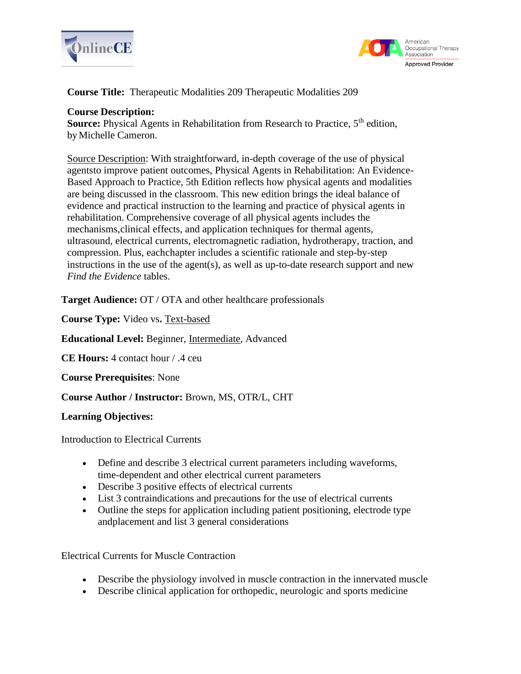



**Course Title:** Therapeutic Modalities 209 Therapeutic Modalities 209

### **Course Description:**

**Source:** Physical Agents in Rehabilitation from Research to Practice, 5<sup>th</sup> edition, by Michelle Cameron.

Source Description: With straightforward, in-depth coverage of the use of physical agentsto improve patient outcomes, Physical Agents in Rehabilitation: An Evidence-Based Approach to Practice, 5th Edition reflects how physical agents and modalities are being discussed in the classroom. This new edition brings the ideal balance of evidence and practical instruction to the learning and practice of physical agents in rehabilitation. Comprehensive coverage of all physical agents includes the mechanisms,clinical effects, and application techniques for thermal agents, ultrasound, electrical currents, electromagnetic radiation, hydrotherapy, traction, and compression. Plus, eachchapter includes a scientific rationale and step-by-step instructions in the use of the agent(s), as well as up-to-date research support and new *Find the Evidence* tables.

**Target Audience:** OT / OTA and other healthcare professionals

**Course Type:** Video vs**.** Text-based

**Educational Level:** Beginner, Intermediate, Advanced

**CE Hours:** 4 contact hour / .4 ceu

**Course Prerequisites**: None

**Course Author / Instructor:** Brown, MS, OTR/L, CHT

#### **Learning Objectives:**

Introduction to Electrical Currents

- Define and describe 3 electrical current parameters including waveforms, time-dependent and other electrical current parameters
- Describe 3 positive effects of electrical currents
- List 3 contraindications and precautions for the use of electrical currents
- Outline the steps for application including patient positioning, electrode type andplacement and list 3 general considerations

Electrical Currents for Muscle Contraction

- Describe the physiology involved in muscle contraction in the innervated muscle
- Describe clinical application for orthopedic, neurologic and sports medicine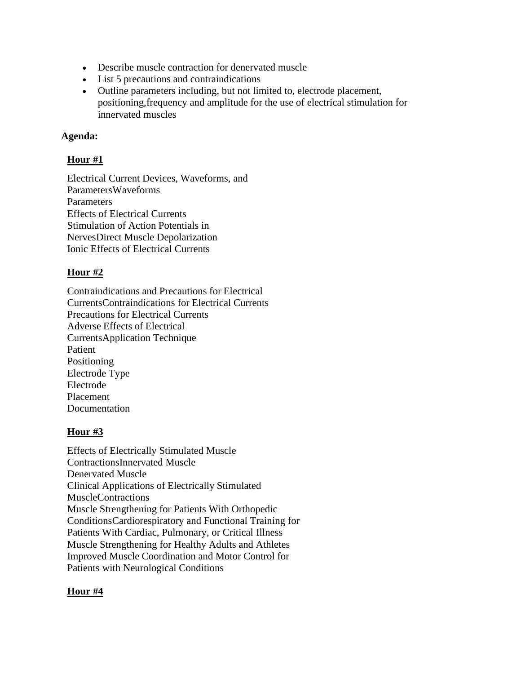- Describe muscle contraction for denervated muscle
- List 5 precautions and contraindications
- Outline parameters including, but not limited to, electrode placement, positioning,frequency and amplitude for the use of electrical stimulation for innervated muscles

## **Agenda:**

# **Hour #1**

Electrical Current Devices, Waveforms, and ParametersWaveforms Parameters Effects of Electrical Currents Stimulation of Action Potentials in NervesDirect Muscle Depolarization Ionic Effects of Electrical Currents

# **Hour #2**

Contraindications and Precautions for Electrical CurrentsContraindications for Electrical Currents Precautions for Electrical Currents Adverse Effects of Electrical CurrentsApplication Technique Patient Positioning Electrode Type Electrode Placement Documentation

### **Hour #3**

Effects of Electrically Stimulated Muscle ContractionsInnervated Muscle Denervated Muscle Clinical Applications of Electrically Stimulated MuscleContractions Muscle Strengthening for Patients With Orthopedic ConditionsCardiorespiratory and Functional Training for Patients With Cardiac, Pulmonary, or Critical Illness Muscle Strengthening for Healthy Adults and Athletes Improved Muscle Coordination and Motor Control for Patients with Neurological Conditions

# **Hour #4**